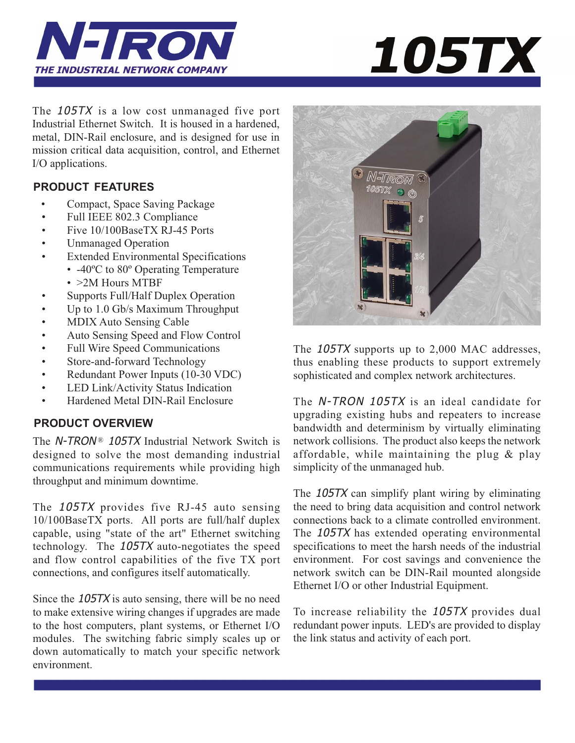



The 105TX is a low cost unmanaged five port Industrial Ethernet Switch. It is housed in a hardened, metal, DIN-Rail enclosure, and is designed for use in mission critical data acquisition, control, and Ethernet I/O applications.

# **PRODUCT FEATURES**

- Compact, Space Saving Package
- Full IEEE 802.3 Compliance
- Five 10/100BaseTX RJ-45 Ports
- Unmanaged Operation
- Extended Environmental Specifications • -40°C to 80° Operating Temperature
	- > 2M Hours MTBF
- Supports Full/Half Duplex Operation
- Up to 1.0 Gb/s Maximum Throughput
- MDIX Auto Sensing Cable
- Auto Sensing Speed and Flow Control
- Full Wire Speed Communications
- Store-and-forward Technology
- Redundant Power Inputs (10-30 VDC)
- LED Link/Activity Status Indication
- Hardened Metal DIN-Rail Enclosure

# **PRODUCT OVERVIEW**

The  $N$ -TRON<sup>®</sup> 105TX Industrial Network Switch is designed to solve the most demanding industrial communications requirements while providing high throughput and minimum downtime.

The 105TX provides five RJ-45 auto sensing 10/100BaseTX ports. All ports are full/half duplex capable, using "state of the art" Ethernet switching technology. The 105TX auto-negotiates the speed and flow control capabilities of the five TX port connections, and configures itself automatically.

Since the 105TX is auto sensing, there will be no need to make extensive wiring changes if upgrades are made to the host computers, plant systems, or Ethernet I/O modules. The switching fabric simply scales up or down automatically to match your specific network environment.



The 105TX supports up to 2,000 MAC addresses, thus enabling these products to support extremely sophisticated and complex network architectures.

The N-TRON 105TX is an ideal candidate for upgrading existing hubs and repeaters to increase bandwidth and determinism by virtually eliminating network collisions. The product also keeps the network affordable, while maintaining the plug  $\&$  play simplicity of the unmanaged hub.

The 105TX can simplify plant wiring by eliminating the need to bring data acquisition and control network connections back to a climate controlled environment. The 105TX has extended operating environmental specifications to meet the harsh needs of the industrial environment. For cost savings and convenience the network switch can be DIN-Rail mounted alongside Ethernet I/O or other Industrial Equipment.

To increase reliability the 105TX provides dual redundant power inputs. LED's are provided to display the link status and activity of each port.